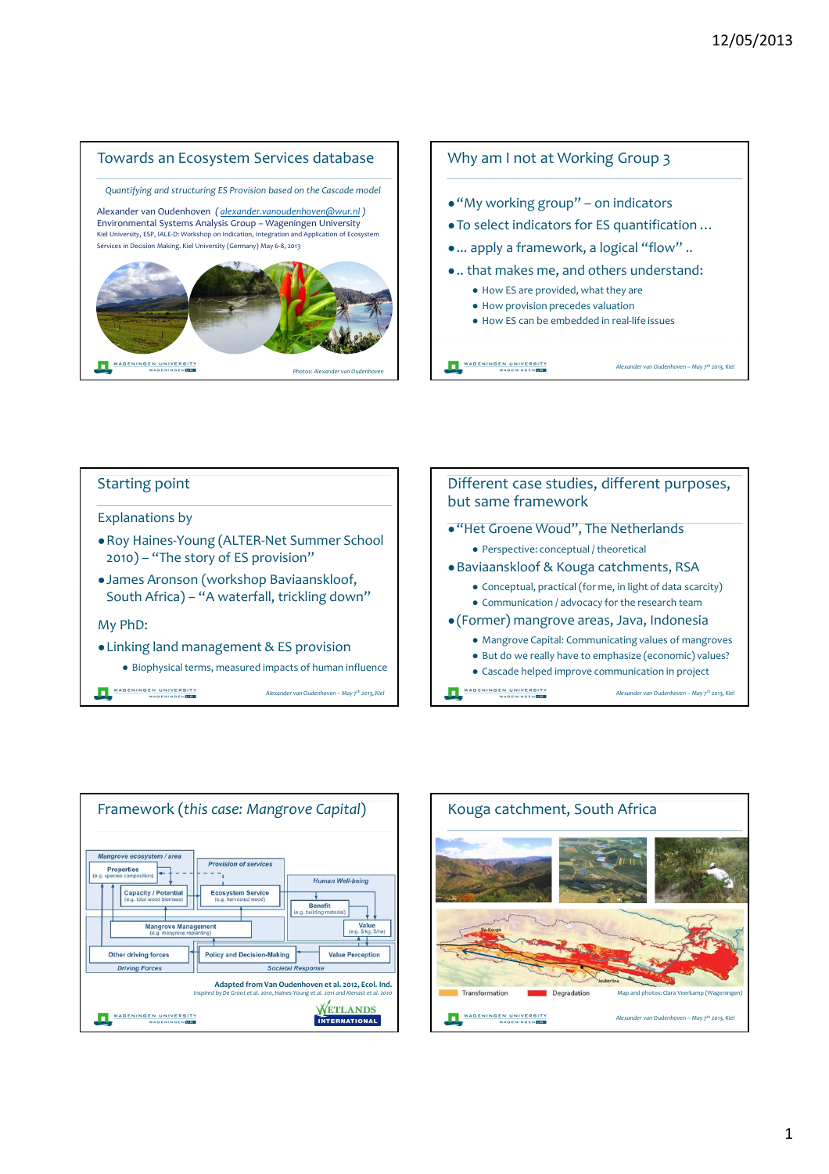







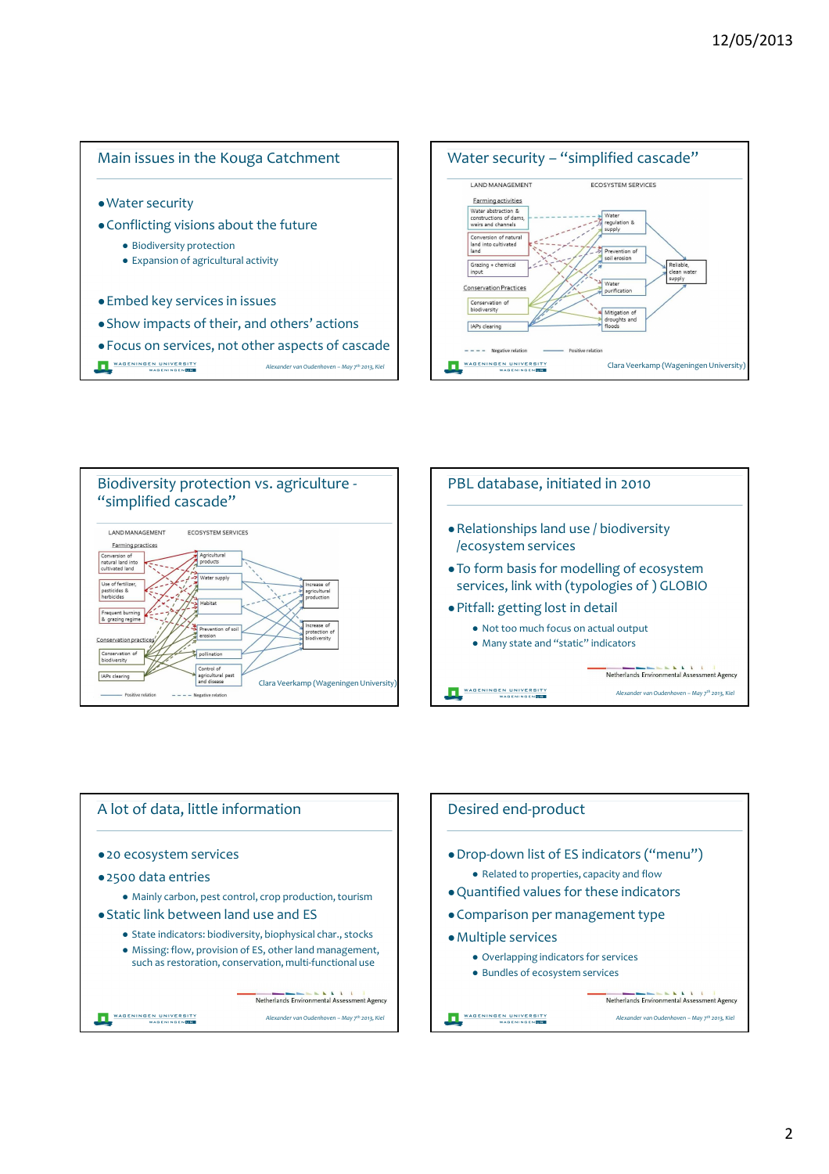







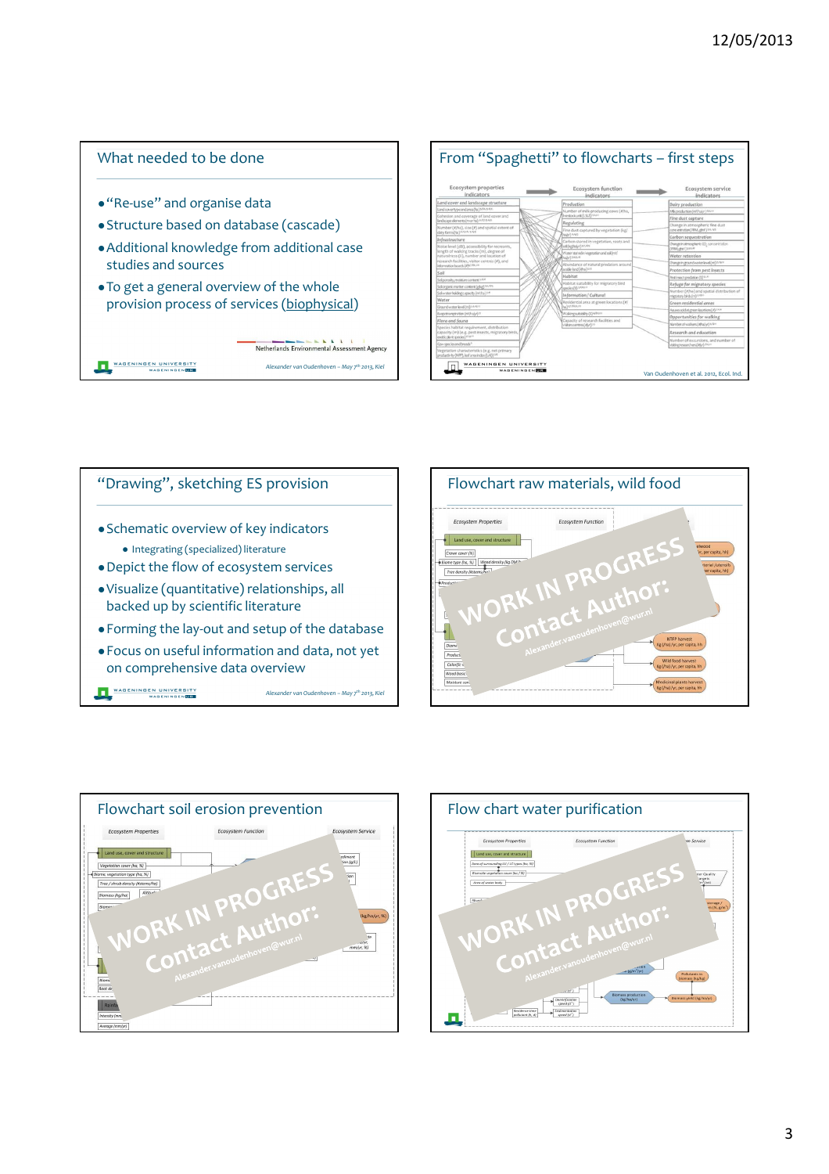